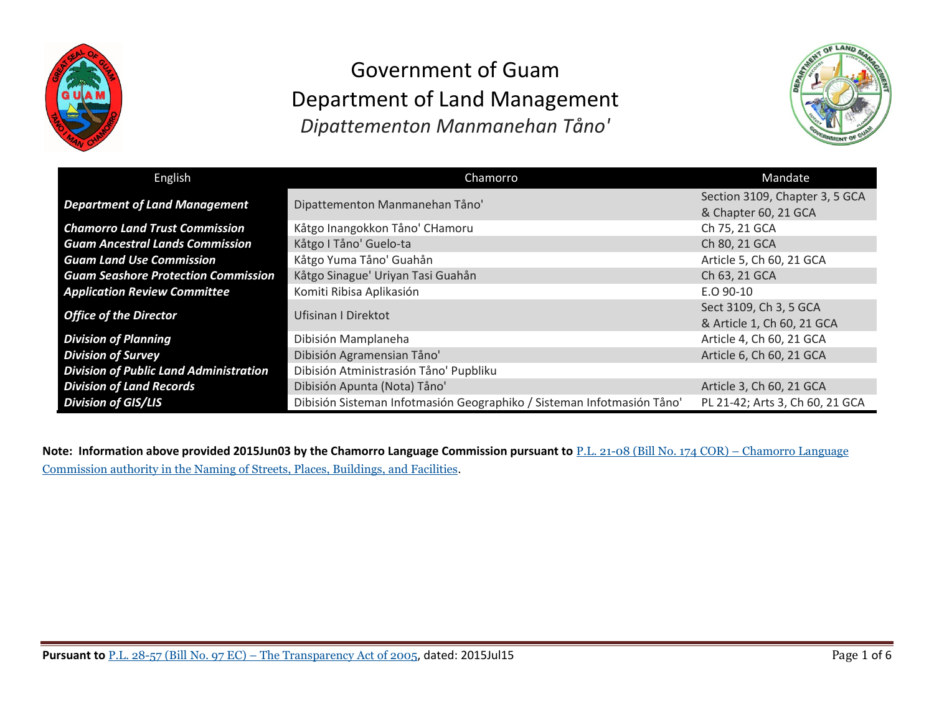



| English                                       | Chamorro                                                               | Mandate                                                |
|-----------------------------------------------|------------------------------------------------------------------------|--------------------------------------------------------|
| <b>Department of Land Management</b>          | Dipattementon Manmanehan Tåno'                                         | Section 3109, Chapter 3, 5 GCA<br>& Chapter 60, 21 GCA |
| <b>Chamorro Land Trust Commission</b>         | Kåtgo Inangokkon Tåno' CHamoru                                         | Ch 75, 21 GCA                                          |
| <b>Guam Ancestral Lands Commission</b>        | Kåtgo I Tåno' Guelo-ta                                                 | Ch 80, 21 GCA                                          |
| <b>Guam Land Use Commission</b>               | Kåtgo Yuma Tåno' Guahån                                                | Article 5, Ch 60, 21 GCA                               |
| <b>Guam Seashore Protection Commission</b>    | Kåtgo Sinague' Uriyan Tasi Guahån                                      | Ch 63, 21 GCA                                          |
| <b>Application Review Committee</b>           | Komiti Ribisa Aplikasión                                               | $E.O.90-10$                                            |
| <b>Office of the Director</b>                 | <b>Ufisinan I Direktot</b>                                             | Sect 3109, Ch 3, 5 GCA<br>& Article 1, Ch 60, 21 GCA   |
| <b>Division of Planning</b>                   | Dibisión Mamplaneha                                                    | Article 4, Ch 60, 21 GCA                               |
| <b>Division of Survey</b>                     | Dibisión Agramensian Tåno'                                             | Article 6, Ch 60, 21 GCA                               |
| <b>Division of Public Land Administration</b> | Dibisión Atministrasión Tåno' Pupbliku                                 |                                                        |
| <b>Division of Land Records</b>               | Dibisión Apunta (Nota) Tåno'                                           | Article 3, Ch 60, 21 GCA                               |
| <b>Division of GIS/LIS</b>                    | Dibisión Sisteman Infotmasión Geographiko / Sisteman Infotmasión Tåno' | PL 21-42; Arts 3, Ch 60, 21 GCA                        |

**Note: Information above provided 2015Jun03 by the Chamorro Language Commission pursuant to** P.L. 21-08 (Bill No. 174 COR) – [Chamorro](http://www.guamlegislature.com/Public_Laws_21st/P.L.%2021-08.pdf) Language [Commission](http://www.guamlegislature.com/Public_Laws_21st/P.L.%2021-08.pdf) authority in the Naming of Streets, Places, Buildings, and Facilities.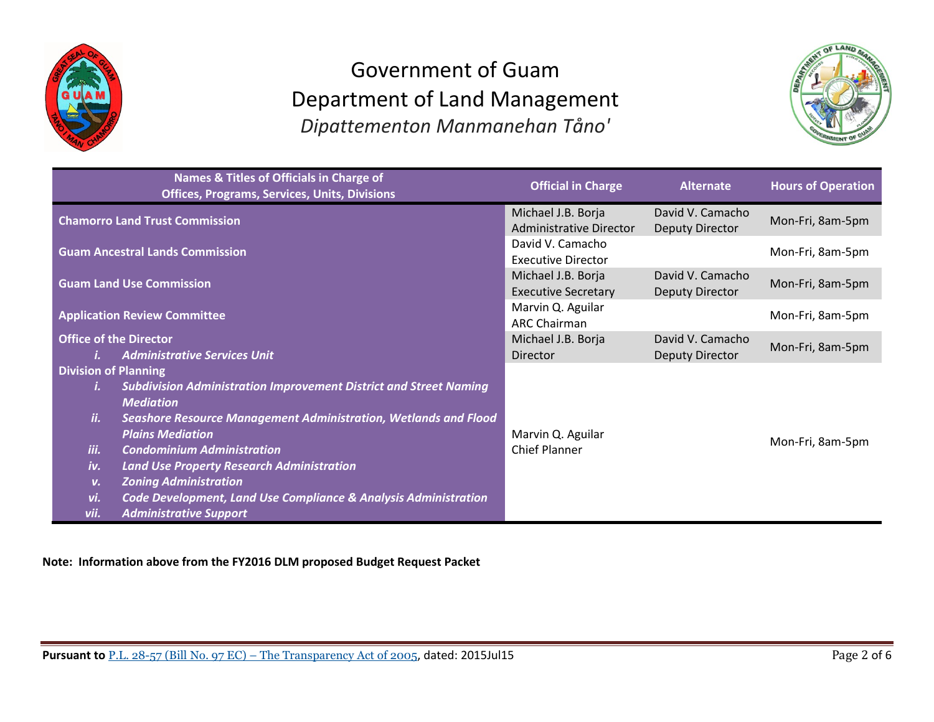



|                             | Names & Titles of Officials in Charge of<br><b>Offices, Programs, Services, Units, Divisions</b> | <b>Official in Charge</b>                            | <b>Alternate</b>                           | <b>Hours of Operation</b> |
|-----------------------------|--------------------------------------------------------------------------------------------------|------------------------------------------------------|--------------------------------------------|---------------------------|
|                             | <b>Chamorro Land Trust Commission</b>                                                            | Michael J.B. Borja<br><b>Administrative Director</b> | David V. Camacho<br><b>Deputy Director</b> | Mon-Fri, 8am-5pm          |
|                             | <b>Guam Ancestral Lands Commission</b>                                                           | David V. Camacho<br><b>Executive Director</b>        |                                            | Mon-Fri, 8am-5pm          |
|                             | <b>Guam Land Use Commission</b>                                                                  | Michael J.B. Borja<br><b>Executive Secretary</b>     | David V. Camacho<br><b>Deputy Director</b> | Mon-Fri, 8am-5pm          |
|                             | <b>Application Review Committee</b>                                                              | Marvin Q. Aguilar<br><b>ARC Chairman</b>             |                                            | Mon-Fri, 8am-5pm          |
|                             | <b>Office of the Director</b>                                                                    | Michael J.B. Borja                                   | David V. Camacho                           | Mon-Fri, 8am-5pm          |
|                             | <b>Administrative Services Unit</b>                                                              | Director                                             | <b>Deputy Director</b>                     |                           |
| <b>Division of Planning</b> |                                                                                                  |                                                      |                                            |                           |
|                             | <b>Subdivision Administration Improvement District and Street Naming</b>                         |                                                      |                                            |                           |
|                             | <b>Mediation</b>                                                                                 |                                                      |                                            |                           |
| ii.                         | Seashore Resource Management Administration, Wetlands and Flood                                  |                                                      |                                            |                           |
|                             | <b>Plains Mediation</b>                                                                          | Marvin Q. Aguilar                                    |                                            |                           |
| iii.                        | <b>Condominium Administration</b>                                                                | <b>Chief Planner</b>                                 |                                            | Mon-Fri, 8am-5pm          |
| iv.                         | <b>Land Use Property Research Administration</b>                                                 |                                                      |                                            |                           |
| V.                          | <b>Zoning Administration</b>                                                                     |                                                      |                                            |                           |
| vi.                         | Code Development, Land Use Compliance & Analysis Administration                                  |                                                      |                                            |                           |
| vii.                        | <b>Administrative Support</b>                                                                    |                                                      |                                            |                           |

**Note: Information above from the FY2016 DLM proposed Budget Request Packet** 

**Pursuant to** P.L. 28-57 (Bill No. 97 EC) – The Transparency Act of 2005, dated: 2015Jul15 Page 2 of 6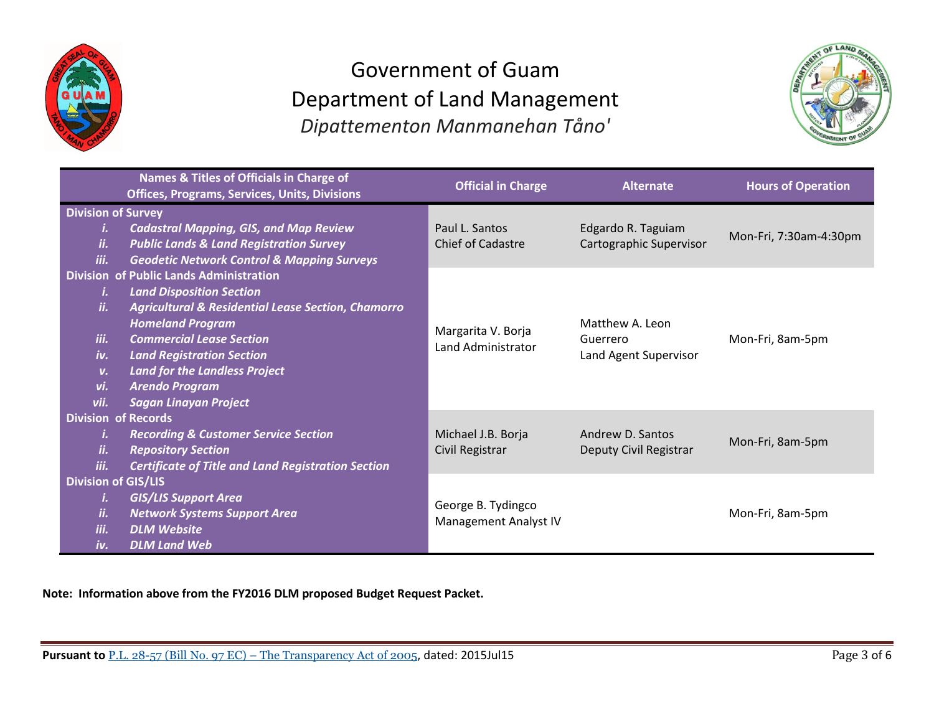



|                            | Names & Titles of Officials in Charge of<br><b>Offices, Programs, Services, Units, Divisions</b> | <b>Official in Charge</b> | <b>Alternate</b>        | <b>Hours of Operation</b> |
|----------------------------|--------------------------------------------------------------------------------------------------|---------------------------|-------------------------|---------------------------|
| <b>Division of Survey</b>  |                                                                                                  |                           |                         |                           |
| i.                         | <b>Cadastral Mapping, GIS, and Map Review</b>                                                    | Paul L. Santos            | Edgardo R. Taguiam      | Mon-Fri, 7:30am-4:30pm    |
| ii.                        | <b>Public Lands &amp; Land Registration Survey</b>                                               | Chief of Cadastre         | Cartographic Supervisor |                           |
| iii.                       | <b>Geodetic Network Control &amp; Mapping Surveys</b>                                            |                           |                         |                           |
|                            | <b>Division of Public Lands Administration</b>                                                   |                           |                         |                           |
| i.<br>ii.                  | <b>Land Disposition Section</b>                                                                  |                           |                         |                           |
|                            | <b>Agricultural &amp; Residential Lease Section, Chamorro</b><br><b>Homeland Program</b>         |                           | Matthew A. Leon         |                           |
| iii.                       | <b>Commercial Lease Section</b>                                                                  | Margarita V. Borja        | Guerrero                | Mon-Fri, 8am-5pm          |
| iv.                        | <b>Land Registration Section</b>                                                                 | Land Administrator        | Land Agent Supervisor   |                           |
| $V_{\bullet}$              | <b>Land for the Landless Project</b>                                                             |                           |                         |                           |
| vi.                        | <b>Arendo Program</b>                                                                            |                           |                         |                           |
| vii.                       | <b>Sagan Linayan Project</b>                                                                     |                           |                         |                           |
|                            | <b>Division of Records</b>                                                                       |                           |                         |                           |
| i.                         | <b>Recording &amp; Customer Service Section</b>                                                  | Michael J.B. Borja        | Andrew D. Santos        | Mon-Fri, 8am-5pm          |
| ii.                        | <b>Repository Section</b>                                                                        | Civil Registrar           | Deputy Civil Registrar  |                           |
| iii.                       | <b>Certificate of Title and Land Registration Section</b>                                        |                           |                         |                           |
| <b>Division of GIS/LIS</b> |                                                                                                  |                           |                         |                           |
| i.                         | <b>GIS/LIS Support Area</b>                                                                      | George B. Tydingco        |                         |                           |
| ii.                        | <b>Network Systems Support Area</b>                                                              | Management Analyst IV     |                         | Mon-Fri, 8am-5pm          |
| iii.                       | <b>DLM Website</b>                                                                               |                           |                         |                           |
| iv.                        | <b>DLM Land Web</b>                                                                              |                           |                         |                           |

**Note: Information above from the FY2016 DLM proposed Budget Request Packet.**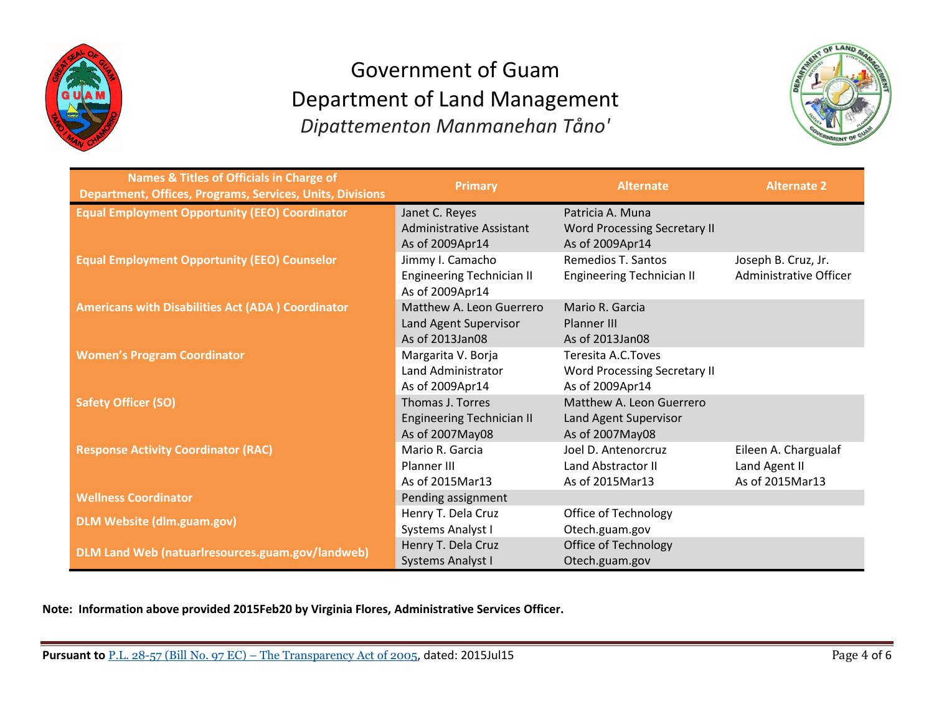



| <b>Names &amp; Titles of Officials in Charge of</b><br>Department, Offices, Programs, Services, Units, Divisions | <b>Primary</b>                   | <b>Alternate</b>                    | <b>Alternate 2</b>     |
|------------------------------------------------------------------------------------------------------------------|----------------------------------|-------------------------------------|------------------------|
| <b>Equal Employment Opportunity (EEO) Coordinator</b>                                                            | Janet C. Reyes                   | Patricia A. Muna                    |                        |
|                                                                                                                  | <b>Administrative Assistant</b>  | <b>Word Processing Secretary II</b> |                        |
|                                                                                                                  | As of 2009Apr14                  | As of 2009Apr14                     |                        |
| <b>Equal Employment Opportunity (EEO) Counselor</b>                                                              | Jimmy I. Camacho                 | Remedios T. Santos                  | Joseph B. Cruz, Jr.    |
|                                                                                                                  | <b>Engineering Technician II</b> | <b>Engineering Technician II</b>    | Administrative Officer |
|                                                                                                                  | As of 2009Apr14                  |                                     |                        |
| <b>Americans with Disabilities Act (ADA) Coordinator</b>                                                         | Matthew A. Leon Guerrero         | Mario R. Garcia                     |                        |
|                                                                                                                  | Land Agent Supervisor            | Planner III                         |                        |
|                                                                                                                  | As of 2013Jan08                  | As of 2013Jan08                     |                        |
| <b>Women's Program Coordinator</b>                                                                               | Margarita V. Borja               | Teresita A.C.Toves                  |                        |
|                                                                                                                  | Land Administrator               | <b>Word Processing Secretary II</b> |                        |
|                                                                                                                  | As of 2009Apr14                  | As of 2009Apr14                     |                        |
| <b>Safety Officer (SO)</b>                                                                                       | Thomas J. Torres                 | Matthew A. Leon Guerrero            |                        |
|                                                                                                                  | <b>Engineering Technician II</b> | Land Agent Supervisor               |                        |
|                                                                                                                  | As of 2007May08                  | As of 2007May08                     |                        |
| <b>Response Activity Coordinator (RAC)</b>                                                                       | Mario R. Garcia                  | Joel D. Antenorcruz                 | Eileen A. Chargualaf   |
|                                                                                                                  | Planner III                      | Land Abstractor II                  | Land Agent II          |
|                                                                                                                  | As of 2015Mar13                  | As of 2015Mar13                     | As of 2015Mar13        |
| <b>Wellness Coordinator</b>                                                                                      | Pending assignment               |                                     |                        |
| <b>DLM Website (dlm.guam.gov)</b>                                                                                | Henry T. Dela Cruz               | Office of Technology                |                        |
|                                                                                                                  | Systems Analyst I                | Otech.guam.gov                      |                        |
| DLM Land Web (natuarlresources.guam.gov/landweb)                                                                 | Henry T. Dela Cruz               | Office of Technology                |                        |
|                                                                                                                  | <b>Systems Analyst I</b>         | Otech.guam.gov                      |                        |

**Note: Information above provided 2015Feb20 by Virginia Flores, Administrative Services Officer.**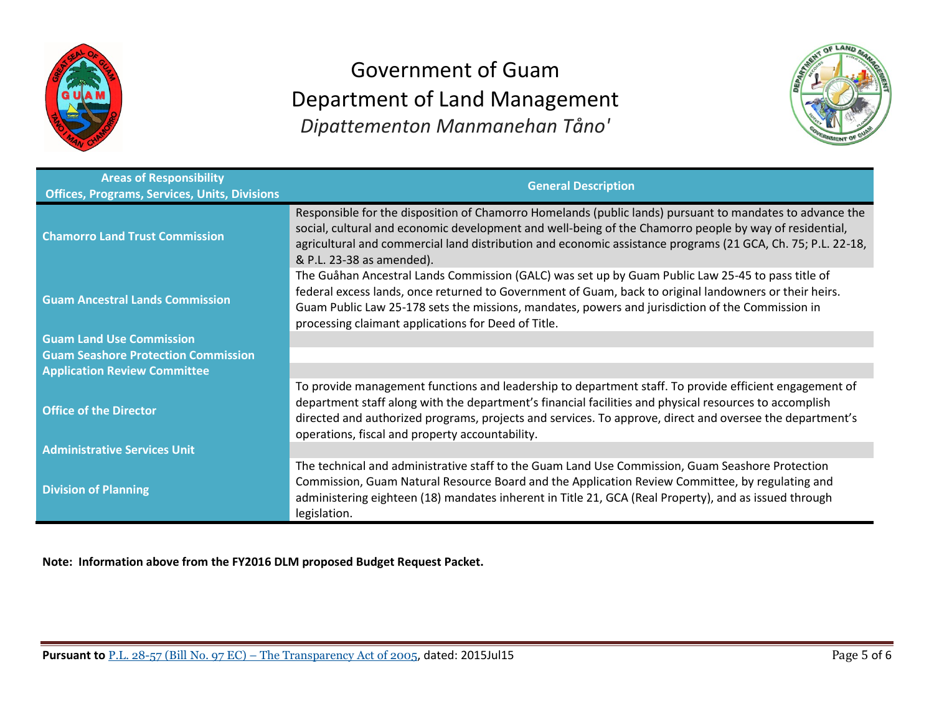



| <b>Areas of Responsibility</b><br><b>Offices, Programs, Services, Units, Divisions</b> | <b>General Description</b>                                                                                                                                                                                                                                                                                                                                                      |
|----------------------------------------------------------------------------------------|---------------------------------------------------------------------------------------------------------------------------------------------------------------------------------------------------------------------------------------------------------------------------------------------------------------------------------------------------------------------------------|
| <b>Chamorro Land Trust Commission</b>                                                  | Responsible for the disposition of Chamorro Homelands (public lands) pursuant to mandates to advance the<br>social, cultural and economic development and well-being of the Chamorro people by way of residential,<br>agricultural and commercial land distribution and economic assistance programs (21 GCA, Ch. 75; P.L. 22-18,<br>& P.L. 23-38 as amended).                  |
| <b>Guam Ancestral Lands Commission</b>                                                 | The Guåhan Ancestral Lands Commission (GALC) was set up by Guam Public Law 25-45 to pass title of<br>federal excess lands, once returned to Government of Guam, back to original landowners or their heirs.<br>Guam Public Law 25-178 sets the missions, mandates, powers and jurisdiction of the Commission in<br>processing claimant applications for Deed of Title.          |
| <b>Guam Land Use Commission</b>                                                        |                                                                                                                                                                                                                                                                                                                                                                                 |
| <b>Guam Seashore Protection Commission</b>                                             |                                                                                                                                                                                                                                                                                                                                                                                 |
| <b>Application Review Committee</b>                                                    |                                                                                                                                                                                                                                                                                                                                                                                 |
| <b>Office of the Director</b>                                                          | To provide management functions and leadership to department staff. To provide efficient engagement of<br>department staff along with the department's financial facilities and physical resources to accomplish<br>directed and authorized programs, projects and services. To approve, direct and oversee the department's<br>operations, fiscal and property accountability. |
| <b>Administrative Services Unit</b>                                                    |                                                                                                                                                                                                                                                                                                                                                                                 |
| <b>Division of Planning</b>                                                            | The technical and administrative staff to the Guam Land Use Commission, Guam Seashore Protection<br>Commission, Guam Natural Resource Board and the Application Review Committee, by regulating and<br>administering eighteen (18) mandates inherent in Title 21, GCA (Real Property), and as issued through<br>legislation.                                                    |

**Note: Information above from the FY2016 DLM proposed Budget Request Packet.**